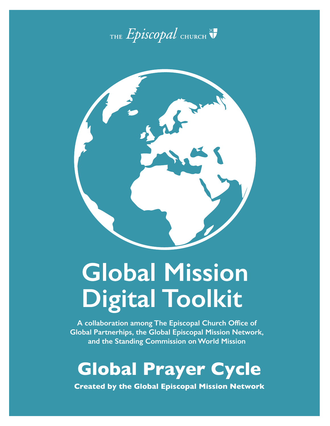



# **Global Mission Digital Toolkit**

**A collaboration among The Episcopal Church Office of Global Partnerhips, the Global Episcopal Mission Network, and the Standing Commission on World Mission**

# **Global Prayer Cycle**

**Created by the Global Episcopal Mission Network**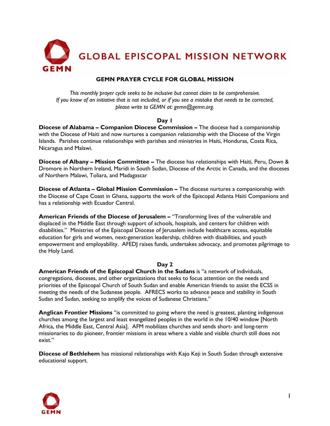

# **GEMN PRAYER CYCLE FOR GLOBAL MISSION**

*This monthly prayer cycle seeks to be inclusive but cannot claim to be comprehensive. If you know of an initiative that is not included, or if you see a mistake that needs to be corrected, please write to GEMN at: gemn@gemn.org.*

# **Day 1**

**Diocese of Alabama – Companion Diocese Commission –** The diocese had a companionship with the Diocese of Haiti and now nurtures a companion relationship with the Diocese of the Virgin Islands. Parishes continue relationships with parishes and ministries in Haiti, Honduras, Costa Rica, Nicaragua and Malawi.

**Diocese of Albany – Mission Committee –** The diocese has relationships with Haiti, Peru, Down & Dromore in Northern Ireland, Maridi in South Sudan, Diocese of the Arctic in Canada, and the dioceses of Northern Malawi, Toliara, and Madagascar

**Diocese of Atlanta – Global Mission Commission –** The diocese nurtures a companionship with the Diocese of Cape Coast in Ghana, supports the work of the Episcopal Atlanta Haiti Companions and has a relationship with Ecuador Central.

**American Friends of the Diocese of Jerusalem –** "Transforming lives of the vulnerable and displaced in the Middle East through support of schools, hospitals, and centers for children with disabilities." Ministries of the Episcopal Diocese of Jerusalem include healthcare access, equitable education for girls and women, next-generation leadership, children with disabilities, and youth empowerment and employability. AFEDJ raises funds, undertakes advocacy, and promotes pilgrimage to the Holy Land.

# **Day 2**

**American Friends of the Episcopal Church in the Sudans** is "a network of individuals, congregations, dioceses, and other organizations that seeks to focus attention on the needs and priorities of the Episcopal Church of South Sudan and enable American friends to assist the ECSS in meeting the needs of the Sudanese people. AFRECS works to advance peace and stability in South Sudan and Sudan, seeking to amplify the voices of Sudanese Christians."

**Anglican Frontier Missions** "is committed to going where the need is greatest, planting indigenous churches among the largest and least evangelized peoples in the world in the 10/40 window [North Africa, the Middle East, Central Asia]. AFM mobilizes churches and sends short- and long-term missionaries to do pioneer, frontier missions in areas where a viable and visible church still does not exist."

**Diocese of Bethlehem** has missional relationships with Kajo Keji in South Sudan through extensive educational support.

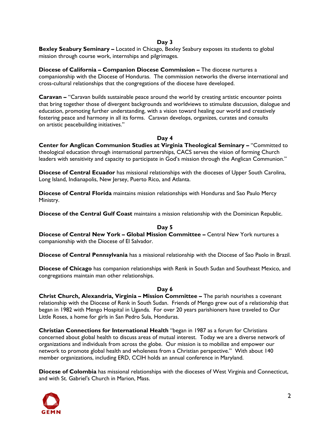**Bexley Seabury Seminary –** Located in Chicago, Bexley Seabury exposes its students to global mission through course work, internships and pilgrimages.

**Diocese of California – Companion Diocese Commission –** The diocese nurtures a companionship with the Diocese of Honduras. The commission networks the diverse international and cross-cultural relationships that the congregations of the diocese have developed.

**Caravan –** "Caravan builds sustainable peace around the world by creating artistic encounter points that bring together those of divergent backgrounds and worldviews to stimulate discussion, dialogue and education, promoting further understanding, with a vision toward healing our world and creatively fostering peace and harmony in all its forms. Caravan develops, organizes, curates and consults on artistic peacebuilding initiatives."

# **Day 4**

**Center for Anglican Communion Studies at Virginia Theological Seminary –** "Committed to theological education through international partnerships, CACS serves the vision of forming Church leaders with sensitivity and capacity to participate in God's mission through the Anglican Communion."

**Diocese of Central Ecuador** has missional relationships with the dioceses of Upper South Carolina, Long Island, Indianapolis, New Jersey, Puerto Rico, and Atlanta.

**Diocese of Central Florida** maintains mission relationships with Honduras and Sao Paulo Mercy Ministry.

**Diocese of the Central Gulf Coast** maintains a mission relationship with the Dominican Republic.

#### **Day 5 Diocese of Central New York – Global Mission Committee –** Central New York nurtures a companionship with the Diocese of El Salvador.

**Diocese of Central Pennsylvania** has a missional relationship with the Diocese of Sao Paolo in Brazil.

**Diocese of Chicago** has companion relationships with Renk in South Sudan and Southeast Mexico, and congregations maintain man other relationships.

#### **Day 6**

**Christ Church, Alexandria, Virginia – Mission Committee –** The parish nourishes a covenant relationship with the Diocese of Renk in South Sudan. Friends of Mengo grew out of a relationship that began in 1982 with Mengo Hospital in Uganda. For over 20 years parishioners have traveled to Our Little Roses, a home for girls in San Pedro Sula, Honduras.

**Christian Connections for International Health** "began in 1987 as a forum for Christians concerned about global health to discuss areas of mutual interest. Today we are a diverse network of organizations and individuals from across the globe. Our mission is to mobilize and empower our network to promote global health and wholeness from a Christian perspective." With about 140 member organizations, including ERD, CCIH holds an annual conference in Maryland.

**Diocese of Colombia** has missional relationships with the dioceses of West Virginia and Connecticut, and with St. Gabriel's Church in Marion, Mass.

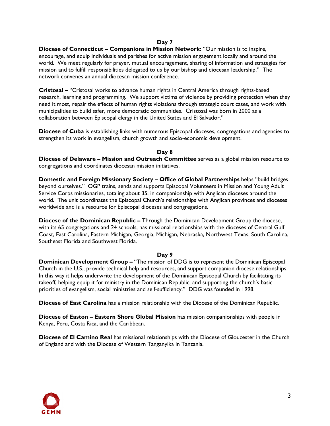**Diocese of Connecticut – Companions in Mission Network:** "Our mission is to inspire, encourage, and equip individuals and parishes for active mission engagement locally and around the world. We meet regularly for prayer, mutual encouragement, sharing of information and strategies for mission and to fulfill responsibilities delegated to us by our bishop and diocesan leadership." The network convenes an annual diocesan mission conference.

**Cristosal –** "Cristosal works to advance human rights in Central America through rights-based research, learning and programming. We support victims of violence by providing protection when they need it most, repair the effects of human rights violations through strategic court cases, and work with municipalities to build safer, more democratic communities. Cristosal was born in 2000 as a collaboration between Episcopal clergy in the United States and El Salvador."

**Diocese of Cuba** is establishing links with numerous Episcopal dioceses, congregations and agencies to strengthen its work in evangelism, church growth and socio-economic development.

# **Day 8**

**Diocese of Delaware – Mission and Outreach Committee** serves as a global mission resource to congregations and coordinates diocesan mission initiatives.

**Domestic and Foreign Missionary Society – Office of Global Partnerships** helps "build bridges beyond ourselves." OGP trains, sends and supports Episcopal Volunteers in Mission and Young Adult Service Corps missionaries, totaling about 35, in companionship with Anglican dioceses around the world. The unit coordinates the Episcopal Church's relationships with Anglican provinces and dioceses worldwide and is a resource for Episcopal dioceses and congregations.

**Diocese of the Dominican Republic –** Through the Dominican Development Group the diocese, with its 65 congregations and 24 schools, has missional relationships with the dioceses of Central Gulf Coast, East Carolina, Eastern Michigan, Georgia, Michigan, Nebraska, Northwest Texas, South Carolina, Southeast Florida and Southwest Florida.

#### **Day 9**

**Dominican Development Group –** "The mission of DDG is to represent the Dominican Episcopal Church in the U.S., provide technical help and resources, and support companion diocese relationships. In this way it helps underwrite the development of the Dominican Episcopal Church by facilitating its takeoff, helping equip it for ministry in the Dominican Republic, and supporting the church's basic priorities of evangelism, social ministries and self-sufficiency." DDG was founded in 1998.

**Diocese of East Carolina** has a mission relationship with the Diocese of the Dominican Republic.

**Diocese of Easton – Eastern Shore Global Mission** has mission companionships with people in Kenya, Peru, Costa Rica, and the Caribbean.

**Diocese of El Camino Real** has missional relationships with the Diocese of Gloucester in the Church of England and with the Diocese of Western Tanganyika in Tanzania.

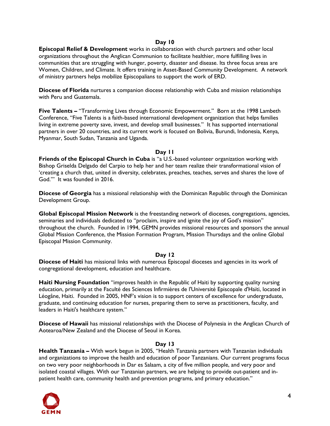**Episcopal Relief & Development** works in collaboration with church partners and other local organizations throughout the Anglican Communion to facilitate healthier, more fulfilling lives in communities that are struggling with hunger, poverty, disaster and disease. Its three focus areas are Women, Children, and Climate. It offers training in Asset-Based Community Development. A network of ministry partners helps mobilize Episcopalians to support the work of ERD.

**Diocese of Florida** nurtures a companion diocese relationship with Cuba and mission relationships with Peru and Guatemala.

**Five Talents –** "Transforming Lives through Economic Empowerment." Born at the 1998 Lambeth Conference, "Five Talents is a faith-based international development organization that helps families living in extreme poverty save, invest, and develop small businesses." It has supported international partners in over 20 countries, and its current work is focused on Bolivia, Burundi, Indonesia, Kenya, Myanmar, South Sudan, Tanzania and Uganda.

# **Day 11**

**Friends of the Episcopal Church in Cuba** is "a U.S.-based volunteer organization working with Bishop Griselda Delgado del Carpio to help her and her team realize their transformational vision of 'creating a church that, united in diversity, celebrates, preaches, teaches, serves and shares the love of God.'" It was founded in 2016.

**Diocese of Georgia** has a missional relationship with the Dominican Republic through the Dominican Development Group.

**Global Episcopal Mission Network** is the freestanding network of dioceses, congregations, agencies, seminaries and individuals dedicated to "proclaim, inspire and ignite the joy of God's mission" throughout the church. Founded in 1994, GEMN provides missional resources and sponsors the annual Global Mission Conference, the Mission Formation Program, Mission Thursdays and the online Global Episcopal Mission Community.

#### **Day 12**

**Diocese of Haiti** has missional links with numerous Episcopal dioceses and agencies in its work of congregational development, education and healthcare.

**Haiti Nursing Foundation** "improves health in the Republic of Haiti by supporting quality nursing education, primarily at the Faculté des Sciences Infirmières de l'Université Episcopale d'Haïti, located in Léogâne, Haiti. Founded in 2005, HNF's vision is to support centers of excellence for undergraduate, graduate, and continuing education for nurses, preparing them to serve as practitioners, faculty, and leaders in Haiti's healthcare system."

**Diocese of Hawaii** has missional relationships with the Diocese of Polynesia in the Anglican Church of Aotearoa/New Zealand and the Diocese of Seoul in Korea.

# **Day 13**

**Health Tanzania –** With work begun in 2005, "Health Tanzania partners with Tanzanian individuals and organizations to improve the health and education of poor Tanzanians. Our current programs focus on two very poor neighborhoods in Dar es Salaam, a city of five million people, and very poor and isolated coastal villages. With our Tanzanian partners, we are helping to provide out-patient and inpatient health care, community health and prevention programs, and primary education."

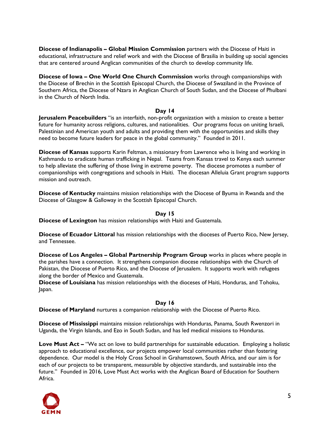**Diocese of Indianapolis – Global Mission Commission** partners with the Diocese of Haiti in educational, infrastructure and relief work and with the Diocese of Brasilia in building up social agencies that are centered around Anglican communities of the church to develop community life.

**Diocese of Iowa – One World One Church Commission** works through companionships with the Diocese of Brechin in the Scottish Episcopal Church, the Diocese of Swaziland in the Province of Southern Africa, the Diocese of Nzara in Anglican Church of South Sudan, and the Diocese of Phulbani in the Church of North India.

# **Day 14**

**Jerusalem Peacebuilders** "is an interfaith, non-profit organization with a mission to create a better future for humanity across religions, cultures, and nationalities. Our programs focus on uniting Israeli, Palestinian and American youth and adults and providing them with the opportunities and skills they need to become future leaders for peace in the global community." Founded in 2011.

**Diocese of Kansas** supports Karin Feltman, a missionary from Lawrence who is living and working in Kathmandu to eradicate human trafficking in Nepal. Teams from Kansas travel to Kenya each summer to help alleviate the suffering of those living in extreme poverty. The diocese promotes a number of companionships with congregations and schools in Haiti. The diocesan Alleluia Grant program supports mission and outreach.

**Diocese of Kentucky** maintains mission relationships with the Diocese of Byuma in Rwanda and the Diocese of Glasgow & Galloway in the Scottish Episcopal Church.

#### **Day 15**

**Diocese of Lexington** has mission relationships with Haiti and Guatemala.

**Diocese of Ecuador Littoral** has mission relationships with the dioceses of Puerto Rico, New Jersey, and Tennessee.

**Diocese of Los Angeles – Global Partnership Program Group** works in places where people in the parishes have a connection. It strengthens companion diocese relationships with the Church of Pakistan, the Diocese of Puerto Rico, and the Diocese of Jerusalem. It supports work with refugees along the border of Mexico and Guatemala.

**Diocese of Louisiana** has mission relationships with the dioceses of Haiti, Honduras, and Tohoku, Japan.

# **Day 16**

**Diocese of Maryland** nurtures a companion relationship with the Diocese of Puerto Rico.

**Diocese of Mississippi** maintains mission relationships with Honduras, Panama, South Rwenzori in Uganda, the Virgin Islands, and Ezo in South Sudan, and has led medical missions to Honduras.

**Love Must Act –** "We act on love to build partnerships for sustainable education. Employing a holistic approach to educational excellence, our projects empower local communities rather than fostering dependence. Our model is the Holy Cross School in Grahamstown, South Africa, and our aim is for each of our projects to be transparent, measurable by objective standards, and sustainable into the future." Founded in 2016, Love Must Act works with the Anglican Board of Education for Southern Africa.

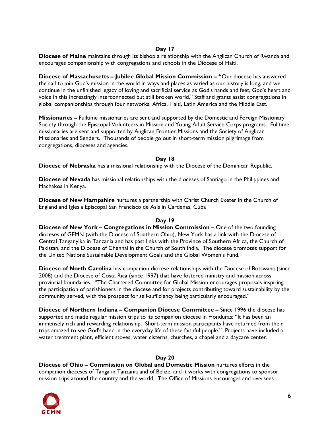**Diocese of Maine** maintains through its bishop a relationship with the Anglican Church of Rwanda and encourages companionship with congregations and schools in the Diocese of Haiti.

**Diocese of Massachusetts – Jubilee Global Mission Commission – "**Our diocese has answered the call to join God's mission in the world in ways and places as varied as our history is long, and we continue in the unfinished legacy of loving and sacrificial service as God's hands and feet, God's heart and voice in this increasingly interconnected but still broken world." Staff and grants assist congregations in global companionships through four networks: Africa, Haiti, Latin America and the Middle East.

**Missionaries –** Fulltime missionaries are sent and supported by the Domestic and Foreign Missionary Society through the Episcopal Volunteers in Mission and Young Adult Service Corps programs. Fulltime missionaries are sent and supported by Anglican Frontier Missions and the Society of Anglican Missionaries and Senders. Thousands of people go out in short-term mission pilgrimage from congregations, dioceses and agencies.

# **Day 18**

**Diocese of Nebraska** has a missional relationship with the Diocese of the Dominican Republic.

**Diocese of Nevada** has missional relationships with the dioceses of Santiago in the Philippines and Machakos in Kenya.

**Diocese of New Hampshire** nurtures a partnership with Christ Church Exeter in the Church of England and Iglesia Episcopal San Francisco de Asis in Cardenas, Cuba

#### **Day 19**

**Diocese of New York - Congregations in Mission Commission - One of the two founding** dioceses of GEMN (with the Diocese of Southern Ohio), New York has a link with the Diocese of Central Tanganyika in Tanzania and has past links with the Province of Southern Africa, the Church of Pakistan, and the Diocese of Chennai in the Church of South India. The diocese promotes support for the United Nations Sustainable Development Goals and the Global Women's Fund.

**Diocese of North Carolina** has companion diocese relationships with the Diocese of Botswana (since 2008) and the Diocese of Costa Rica (since 1997) that have fostered ministry and mission across provincial boundaries. "The Chartered Committee for Global Mission encourages proposals inspiring the participation of parishioners in the diocese and for projects contributing toward sustainability by the community served, with the prospect for self-sufficiency being particularly encouraged."

**Diocese of Northern Indiana – Companion Diocese Committee –** Since 1996 the diocese has supported and made regular mission trips to its companion diocese in Honduras: "It has been an immensely rich and rewarding relationship. Short-term mission participants have returned from their trips amazed to see God's hand in the everyday life of these faithful people." Projects have included a water treatment plant, efficient stoves, water cisterns, churches, a chapel and a daycare center.

#### **Day 20**

**Diocese of Ohio – Commission on Global and Domestic Mission** nurtures efforts in the companion dioceses of Tanga in Tanzania and of Belize, and it works with congregations to sponsor mission trips around the country and the world. The Office of Missions encourages and oversees

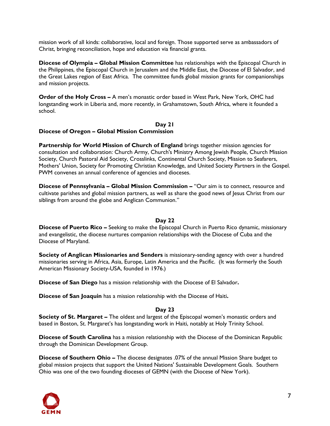mission work of all kinds: collaborative, local and foreign. Those supported serve as ambassadors of Christ, bringing reconciliation, hope and education via financial grants.

**Diocese of Olympia – Global Mission Committee** has relationships with the Episcopal Church in the Philippines, the Episcopal Church in Jerusalem and the Middle East, the Diocese of El Salvador, and the Great Lakes region of East Africa. The committee funds global mission grants for companionships and mission projects.

**Order of the Holy Cross –** A men's monastic order based in West Park, New York, OHC had longstanding work in Liberia and, more recently, in Grahamstown, South Africa, where it founded a school.

#### **Day 21 Diocese of Oregon – Global Mission Commission**

**Partnership for World Mission of Church of England** brings together mission agencies for consultation and collaboration: Church Army, Church's Ministry Among Jewish People, Church Mission Society, Church Pastoral Aid Society, Crosslinks, Continental Church Society, Mission to Seafarers, Mothers' Union, Society for Promoting Christian Knowledge, and United Society Partners in the Gospel. PWM convenes an annual conference of agencies and dioceses.

**Diocese of Pennsylvania – Global Mission Commission –** "Our aim is to connect, resource and cultivate parishes and global mission partners, as well as share the good news of Jesus Christ from our siblings from around the globe and Anglican Communion."

# **Day 22**

**Diocese of Puerto Rico –** Seeking to make the Episcopal Church in Puerto Rico dynamic, missionary and evangelistic, the diocese nurtures companion relationships with the Diocese of Cuba and the Diocese of Maryland.

**Society of Anglican Missionaries and Senders** is missionary-sending agency with over a hundred missionaries serving in Africa, Asia, Europe, Latin America and the Pacific. (It was formerly the South American Missionary Society-USA, founded in 1976.)

**Diocese of San Diego** has a mission relationship with the Diocese of El Salvador**.** 

**Diocese of San Joaquin** has a mission relationship with the Diocese of Haiti**.** 

# **Day 23**

**Society of St. Margaret –** The oldest and largest of the Episcopal women's monastic orders and based in Boston, St. Margaret's has longstanding work in Haiti, notably at Holy Trinity School.

**Diocese of South Carolina** has a mission relationship with the Diocese of the Dominican Republic through the Dominican Development Group.

**Diocese of Southern Ohio –** The diocese designates .07% of the annual Mission Share budget to global mission projects that support the United Nations' Sustainable Development Goals. Southern Ohio was one of the two founding dioceses of GEMN (with the Diocese of New York).

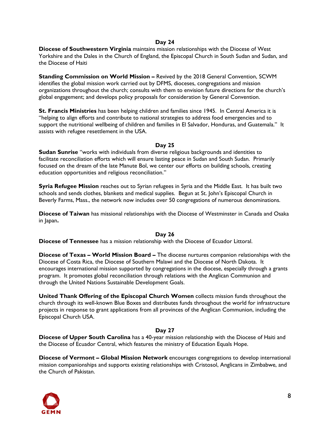**Diocese of Southwestern Virginia** maintains mission relationships with the Diocese of West Yorkshire and the Dales in the Church of England, the Episcopal Church in South Sudan and Sudan, and the Diocese of Haiti

**Standing Commission on World Mission –** Revived by the 2018 General Convention, SCWM identifies the global mission work carried out by DFMS, dioceses, congregations and mission organizations throughout the church; consults with them to envision future directions for the church's global engagement; and develops policy proposals for consideration by General Convention.

**St. Francis Ministries** has been helping children and families since 1945. In Central America it is "helping to align efforts and contribute to national strategies to address food emergencies and to support the nutritional wellbeing of children and families in El Salvador, Honduras, and Guatemala." It assists with refugee resettlement in the USA.

# **Day 25**

**Sudan Sunrise** "works with individuals from diverse religious backgrounds and identities to facilitate reconciliation efforts which will ensure lasting peace in Sudan and South Sudan. Primarily focused on the dream of the late Manute Bol, we center our efforts on building schools, creating education opportunities and religious reconciliation."

**Syria Refugee Mission** reaches out to Syrian refugees in Syria and the Middle East. It has built two schools and sends clothes, blankets and medical supplies. Begun at St. John's Episcopal Church in Beverly Farms, Mass., the network now includes over 50 congregations of numerous denominations.

**Diocese of Taiwan** has missional relationships with the Diocese of Westminster in Canada and Osaka in Japan**.** 

# **Day 26**

**Diocese of Tennessee** has a mission relationship with the Diocese of Ecuador Littoral.

**Diocese of Texas – World Mission Board –** The diocese nurtures companion relationships with the Diocese of Costa Rica, the Diocese of Southern Malawi and the Diocese of North Dakota. It encourages international mission supported by congregations in the diocese, especially through a grants program. It promotes global reconciliation through relations with the Anglican Communion and through the United Nations Sustainable Development Goals.

**United Thank Offering of the Episcopal Church Women** collects mission funds throughout the church through its well-known Blue Boxes and distributes funds throughout the world for infrastructure projects in response to grant applications from all provinces of the Anglican Communion, including the Episcopal Church USA.

# **Day 27**

**Diocese of Upper South Carolina** has a 40-year mission relationship with the Diocese of Haiti and the Diocese of Ecuador Central, which features the ministry of Education Equals Hope.

**Diocese of Vermont – Global Mission Network** encourages congregations to develop international mission companionships and supports existing relationships with Cristosol, Anglicans in Zimbabwe, and the Church of Pakistan.